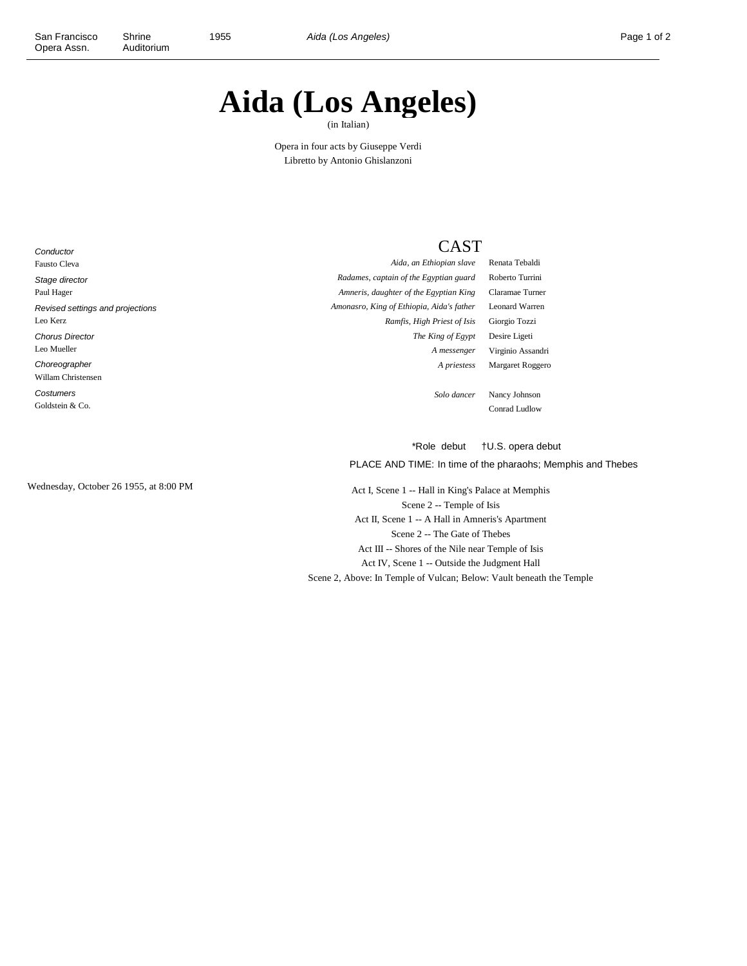## **Aida (Los Angeles)**

(in Italian)

Opera in four acts by Giuseppe Verdi Libretto by Antonio Ghislanzoni

**Conductor** Fausto Cleva Stage director Paul Hager Revised settings and projections Leo Kerz Chorus Director Leo Mueller Choreographer Willam Christensen **Costumers** Goldstein & Co.

## **CAST**

*Aida, an Ethiopian slave* Renata Tebaldi *Radames, captain of the Egyptian guard* Roberto Turrini *Amneris, daughter of the Egyptian King* Claramae Turner *Amonasro, King of Ethiopia, Aida's father* Leonard Warren *Ramfis, High Priest of Isis* Giorgio Tozzi *The King of Egypt* Desire Ligeti *A messenger* Virginio Assandri *A priestess* Margaret Roggero

*Solo dancer* Nancy Johnson Conrad Ludlow

\*Role debut †U.S. opera debut

PLACE AND TIME: In time of the pharaohs; Memphis and Thebes

Wednesday, October 26 1955, at 8:00 PM Act I, Scene 1 -- Hall in King's Palace at Memphis Scene 2 -- Temple of Isis Act II, Scene 1 -- A Hall in Amneris's Apartment Scene 2 -- The Gate of Thebes Act III -- Shores of the Nile near Temple of Isis Act IV, Scene 1 -- Outside the Judgment Hall Scene 2, Above: In Temple of Vulcan; Below: Vault beneath the Temple